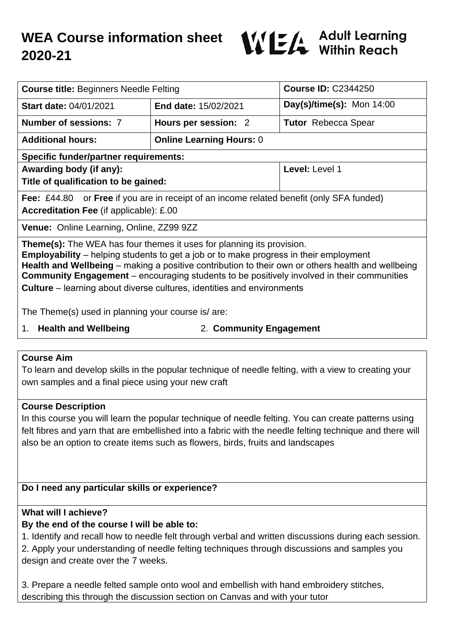# **WEA Course information sheet 2020-21**



| <b>Course title: Beginners Needle Felting</b>                                                                                                                                                                                                                                                                                                                                                                                                                                  |                                 | <b>Course ID: C2344250</b>  |
|--------------------------------------------------------------------------------------------------------------------------------------------------------------------------------------------------------------------------------------------------------------------------------------------------------------------------------------------------------------------------------------------------------------------------------------------------------------------------------|---------------------------------|-----------------------------|
| <b>Start date: 04/01/2021</b>                                                                                                                                                                                                                                                                                                                                                                                                                                                  | <b>End date: 15/02/2021</b>     | Day(s)/time(s): Mon $14:00$ |
| Number of sessions: 7                                                                                                                                                                                                                                                                                                                                                                                                                                                          | Hours per session: 2            | <b>Tutor</b> Rebecca Spear  |
| <b>Additional hours:</b>                                                                                                                                                                                                                                                                                                                                                                                                                                                       | <b>Online Learning Hours: 0</b> |                             |
| <b>Specific funder/partner requirements:</b>                                                                                                                                                                                                                                                                                                                                                                                                                                   |                                 |                             |
| Awarding body (if any):                                                                                                                                                                                                                                                                                                                                                                                                                                                        |                                 | Level: Level 1              |
| Title of qualification to be gained:                                                                                                                                                                                                                                                                                                                                                                                                                                           |                                 |                             |
| <b>Fee:</b> £44.80 or <b>Free</b> if you are in receipt of an income related benefit (only SFA funded)<br><b>Accreditation Fee (if applicable): £.00</b>                                                                                                                                                                                                                                                                                                                       |                                 |                             |
| <b>Venue:</b> Online Learning, Online, ZZ99 9ZZ                                                                                                                                                                                                                                                                                                                                                                                                                                |                                 |                             |
| <b>Theme(s):</b> The WEA has four themes it uses for planning its provision.<br><b>Employability</b> – helping students to get a job or to make progress in their employment<br><b>Health and Wellbeing</b> – making a positive contribution to their own or others health and wellbeing<br><b>Community Engagement</b> – encouraging students to be positively involved in their communities<br><b>Culture</b> – learning about diverse cultures, identities and environments |                                 |                             |

The Theme(s) used in planning your course is/ are:

1. **Health and Wellbeing** 2. **Community Engagement**

#### **Course Aim**

To learn and develop skills in the popular technique of needle felting, with a view to creating your own samples and a final piece using your new craft

### **Course Description**

In this course you will learn the popular technique of needle felting. You can create patterns using felt fibres and yarn that are embellished into a fabric with the needle felting technique and there will also be an option to create items such as flowers, birds, fruits and landscapes

### **Do I need any particular skills or experience?**

### **What will I achieve?**

### **By the end of the course I will be able to:**

1. Identify and recall how to needle felt through verbal and written discussions during each session.

2. Apply your understanding of needle felting techniques through discussions and samples you design and create over the 7 weeks.

3. Prepare a needle felted sample onto wool and embellish with hand embroidery stitches, describing this through the discussion section on Canvas and with your tutor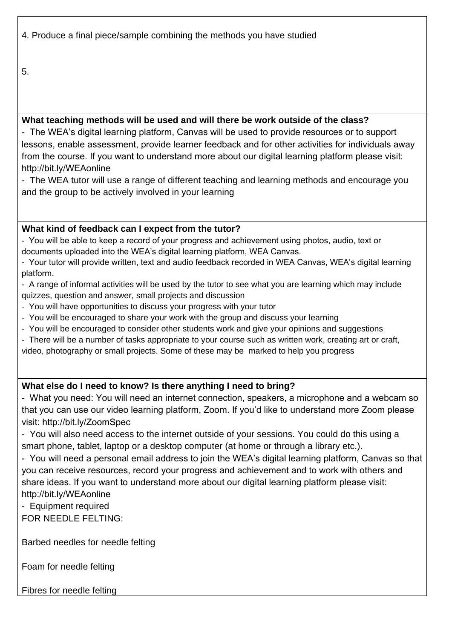4. Produce a final piece/sample combining the methods you have studied

5.

## **What teaching methods will be used and will there be work outside of the class?**

- The WEA's digital learning platform, Canvas will be used to provide resources or to support lessons, enable assessment, provide learner feedback and for other activities for individuals away from the course. If you want to understand more about our digital learning platform please visit: http://bit.ly/WEAonline

- The WEA tutor will use a range of different teaching and learning methods and encourage you and the group to be actively involved in your learning

## **What kind of feedback can I expect from the tutor?**

- You will be able to keep a record of your progress and achievement using photos, audio, text or documents uploaded into the WEA's digital learning platform, WEA Canvas.

- Your tutor will provide written, text and audio feedback recorded in WEA Canvas, WEA's digital learning platform.

- A range of informal activities will be used by the tutor to see what you are learning which may include quizzes, question and answer, small projects and discussion

- You will have opportunities to discuss your progress with your tutor
- You will be encouraged to share your work with the group and discuss your learning
- You will be encouraged to consider other students work and give your opinions and suggestions
- There will be a number of tasks appropriate to your course such as written work, creating art or craft,

video, photography or small projects. Some of these may be marked to help you progress

## **What else do I need to know? Is there anything I need to bring?**

- What you need: You will need an internet connection, speakers, a microphone and a webcam so that you can use our video learning platform, Zoom. If you'd like to understand more Zoom please visit: http://bit.ly/ZoomSpec

- You will also need access to the internet outside of your sessions. You could do this using a smart phone, tablet, laptop or a desktop computer (at home or through a library etc.).

- You will need a personal email address to join the WEA's digital learning platform, Canvas so that you can receive resources, record your progress and achievement and to work with others and share ideas. If you want to understand more about our digital learning platform please visit: http://bit.ly/WEAonline

- Equipment required

FOR NEEDLE FELTING:

Barbed needles for needle felting

Foam for needle felting

Fibres for needle felting